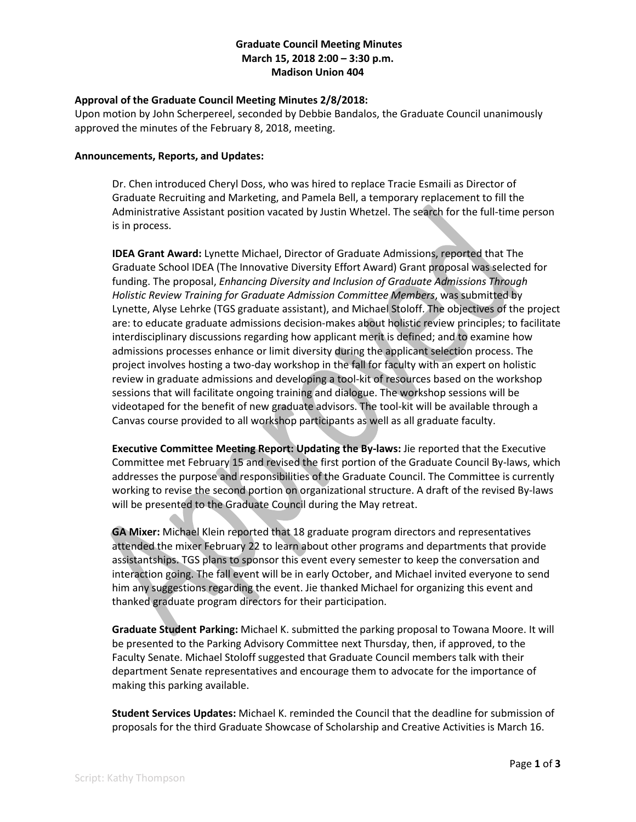### **Graduate Council Meeting Minutes March 15, 2018 2:00 – 3:30 p.m. Madison Union 404**

### **Approval of the Graduate Council Meeting Minutes 2/8/2018:**

Upon motion by John Scherpereel, seconded by Debbie Bandalos, the Graduate Council unanimously approved the minutes of the February 8, 2018, meeting.

#### **Announcements, Reports, and Updates:**

Dr. Chen introduced Cheryl Doss, who was hired to replace Tracie Esmaili as Director of Graduate Recruiting and Marketing, and Pamela Bell, a temporary replacement to fill the Administrative Assistant position vacated by Justin Whetzel. The search for the full-time person is in process.

**IDEA Grant Award:** Lynette Michael, Director of Graduate Admissions, reported that The Graduate School IDEA (The Innovative Diversity Effort Award) Grant proposal was selected for funding. The proposal, *Enhancing Diversity and Inclusion of Graduate Admissions Through Holistic Review Training for Graduate Admission Committee Members*, was submitted by Lynette, Alyse Lehrke (TGS graduate assistant), and Michael Stoloff. The objectives of the project are: to educate graduate admissions decision-makes about holistic review principles; to facilitate interdisciplinary discussions regarding how applicant merit is defined; and to examine how admissions processes enhance or limit diversity during the applicant selection process. The project involves hosting a two-day workshop in the fall for faculty with an expert on holistic review in graduate admissions and developing a tool-kit of resources based on the workshop sessions that will facilitate ongoing training and dialogue. The workshop sessions will be videotaped for the benefit of new graduate advisors. The tool-kit will be available through a Canvas course provided to all workshop participants as well as all graduate faculty.

**Executive Committee Meeting Report: Updating the By-laws:** Jie reported that the Executive Committee met February 15 and revised the first portion of the Graduate Council By-laws, which addresses the purpose and responsibilities of the Graduate Council. The Committee is currently working to revise the second portion on organizational structure. A draft of the revised By-laws will be presented to the Graduate Council during the May retreat.

**GA Mixer:** Michael Klein reported that 18 graduate program directors and representatives attended the mixer February 22 to learn about other programs and departments that provide assistantships. TGS plans to sponsor this event every semester to keep the conversation and interaction going. The fall event will be in early October, and Michael invited everyone to send him any suggestions regarding the event. Jie thanked Michael for organizing this event and thanked graduate program directors for their participation.

**Graduate Student Parking:** Michael K. submitted the parking proposal to Towana Moore. It will be presented to the Parking Advisory Committee next Thursday, then, if approved, to the Faculty Senate. Michael Stoloff suggested that Graduate Council members talk with their department Senate representatives and encourage them to advocate for the importance of making this parking available.

**Student Services Updates:** Michael K. reminded the Council that the deadline for submission of proposals for the third Graduate Showcase of Scholarship and Creative Activities is March 16.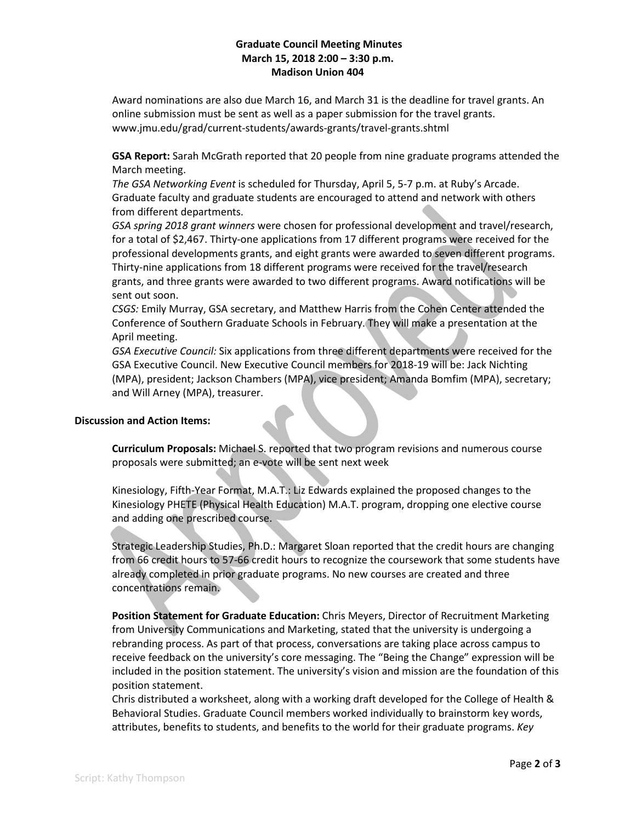# **Graduate Council Meeting Minutes March 15, 2018 2:00 – 3:30 p.m. Madison Union 404**

Award nominations are also due March 16, and March 31 is the deadline for travel grants. An online submission must be sent as well as a paper submission for the travel grants. www.jmu.edu/grad/current-students/awards-grants/travel-grants.shtml

**GSA Report:** Sarah McGrath reported that 20 people from nine graduate programs attended the March meeting.

*The GSA Networking Event* is scheduled for Thursday, April 5, 5-7 p.m. at Ruby's Arcade. Graduate faculty and graduate students are encouraged to attend and network with others from different departments.

*GSA spring 2018 grant winners* were chosen for professional development and travel/research, for a total of \$2,467. Thirty-one applications from 17 different programs were received for the professional developments grants, and eight grants were awarded to seven different programs. Thirty-nine applications from 18 different programs were received for the travel/research grants, and three grants were awarded to two different programs. Award notifications will be sent out soon.

*CSGS:* Emily Murray, GSA secretary, and Matthew Harris from the Cohen Center attended the Conference of Southern Graduate Schools in February. They will make a presentation at the April meeting.

*GSA Executive Council:* Six applications from three different departments were received for the GSA Executive Council. New Executive Council members for 2018-19 will be: Jack Nichting (MPA), president; Jackson Chambers (MPA), vice president; Amanda Bomfim (MPA), secretary; and Will Arney (MPA), treasurer.

#### **Discussion and Action Items:**

**Curriculum Proposals:** Michael S. reported that two program revisions and numerous course proposals were submitted; an e-vote will be sent next week

Kinesiology, Fifth-Year Format, M.A.T.: Liz Edwards explained the proposed changes to the Kinesiology PHETE (Physical Health Education) M.A.T. program, dropping one elective course and adding one prescribed course.

Strategic Leadership Studies, Ph.D.: Margaret Sloan reported that the credit hours are changing from 66 credit hours to 57-66 credit hours to recognize the coursework that some students have already completed in prior graduate programs. No new courses are created and three concentrations remain.

**Position Statement for Graduate Education:** Chris Meyers, Director of Recruitment Marketing from University Communications and Marketing, stated that the university is undergoing a rebranding process. As part of that process, conversations are taking place across campus to receive feedback on the university's core messaging. The "Being the Change" expression will be included in the position statement. The university's vision and mission are the foundation of this position statement.

Chris distributed a worksheet, along with a working draft developed for the College of Health & Behavioral Studies. Graduate Council members worked individually to brainstorm key words, attributes, benefits to students, and benefits to the world for their graduate programs. *Key*